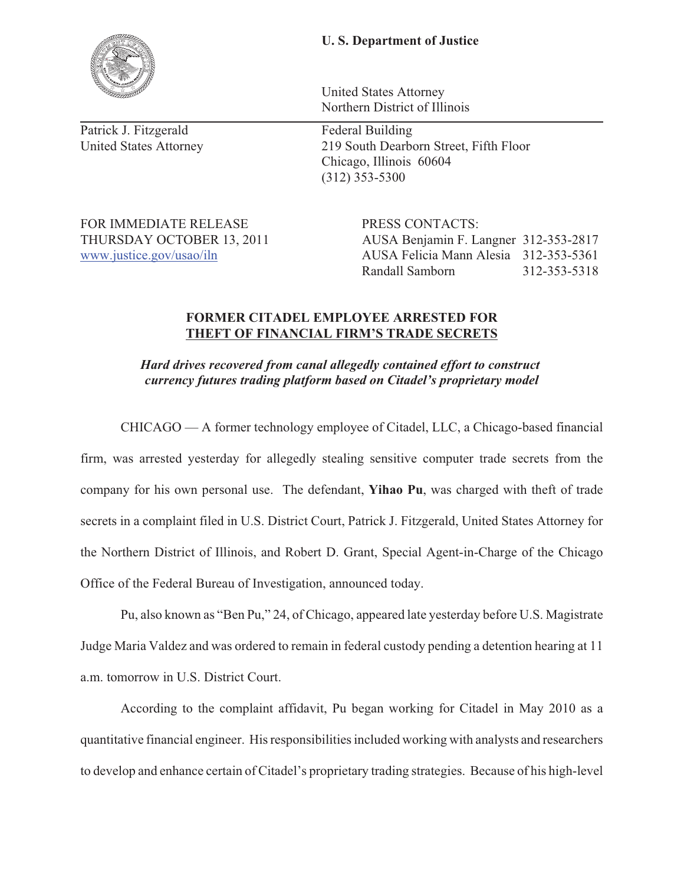## **U. S. Department of Justice**

United States Attorney Northern District of Illinois

United States Attorney 219 South Dearborn Street, Fifth Floor Chicago, Illinois 60604 (312) 353-5300

FOR IMMEDIATE RELEASE PRESS CONTACTS:

THURSDAY OCTOBER 13, 2011 AUSA Benjamin F. Langner 312-353-2817 www.justice.gov/usao/iln AUSA Felicia Mann Alesia 312-353-5361 Randall Samborn 312-353-5318

## **FORMER CITADEL EMPLOYEE ARRESTED FOR THEFT OF FINANCIAL FIRM'S TRADE SECRETS**

*Hard drives recovered from canal allegedly contained effort to construct currency futures trading platform based on Citadel's proprietary model* 

CHICAGO — A former technology employee of Citadel, LLC, a Chicago-based financial

firm, was arrested yesterday for allegedly stealing sensitive computer trade secrets from the company for his own personal use. The defendant, **Yihao Pu**, was charged with theft of trade secrets in a complaint filed in U.S. District Court, Patrick J. Fitzgerald, United States Attorney for the Northern District of Illinois, and Robert D. Grant, Special Agent-in-Charge of the Chicago Office of the Federal Bureau of Investigation, announced today.

Pu, also known as "Ben Pu," 24, of Chicago, appeared late yesterday before U.S. Magistrate Judge Maria Valdez and was ordered to remain in federal custody pending a detention hearing at 11 a.m. tomorrow in U.S. District Court.

According to the complaint affidavit, Pu began working for Citadel in May 2010 as a quantitative financial engineer. His responsibilities included working with analysts and researchers to develop and enhance certain of Citadel's proprietary trading strategies. Because of his high-level



Patrick J. Fitzgerald Federal Building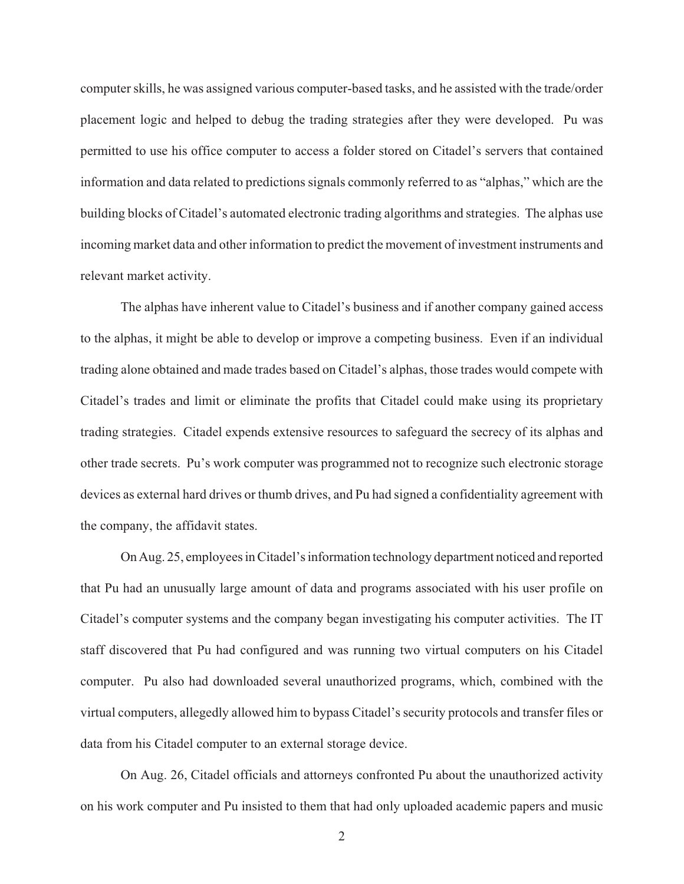computer skills, he was assigned various computer-based tasks, and he assisted with the trade/order placement logic and helped to debug the trading strategies after they were developed. Pu was permitted to use his office computer to access a folder stored on Citadel's servers that contained information and data related to predictions signals commonly referred to as "alphas," which are the building blocks of Citadel's automated electronic trading algorithms and strategies. The alphas use incoming market data and other information to predict the movement of investment instruments and relevant market activity.

The alphas have inherent value to Citadel's business and if another company gained access to the alphas, it might be able to develop or improve a competing business. Even if an individual trading alone obtained and made trades based on Citadel's alphas, those trades would compete with Citadel's trades and limit or eliminate the profits that Citadel could make using its proprietary trading strategies. Citadel expends extensive resources to safeguard the secrecy of its alphas and other trade secrets. Pu's work computer was programmed not to recognize such electronic storage devices as external hard drives or thumb drives, and Pu had signed a confidentiality agreement with the company, the affidavit states.

On Aug. 25, employees in Citadel's information technology department noticed and reported that Pu had an unusually large amount of data and programs associated with his user profile on Citadel's computer systems and the company began investigating his computer activities. The IT staff discovered that Pu had configured and was running two virtual computers on his Citadel computer. Pu also had downloaded several unauthorized programs, which, combined with the virtual computers, allegedly allowed him to bypass Citadel's security protocols and transfer files or data from his Citadel computer to an external storage device.

On Aug. 26, Citadel officials and attorneys confronted Pu about the unauthorized activity on his work computer and Pu insisted to them that had only uploaded academic papers and music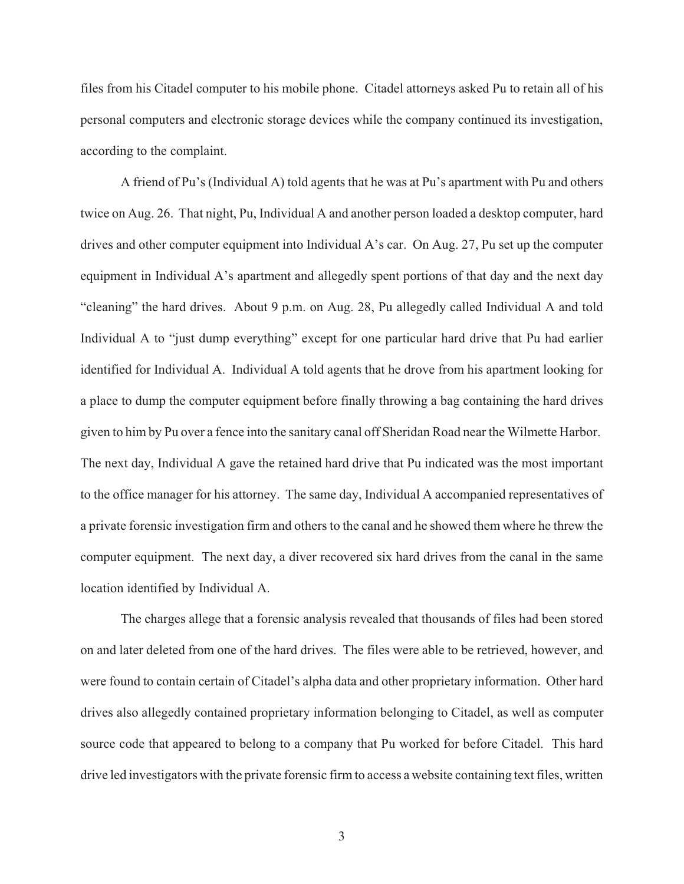files from his Citadel computer to his mobile phone. Citadel attorneys asked Pu to retain all of his personal computers and electronic storage devices while the company continued its investigation, according to the complaint.

A friend of Pu's (Individual A) told agents that he was at Pu's apartment with Pu and others twice on Aug. 26. That night, Pu, Individual A and another person loaded a desktop computer, hard drives and other computer equipment into Individual A's car. On Aug. 27, Pu set up the computer equipment in Individual A's apartment and allegedly spent portions of that day and the next day "cleaning" the hard drives. About 9 p.m. on Aug. 28, Pu allegedly called Individual A and told Individual A to "just dump everything" except for one particular hard drive that Pu had earlier identified for Individual A. Individual A told agents that he drove from his apartment looking for a place to dump the computer equipment before finally throwing a bag containing the hard drives given to him by Pu over a fence into the sanitary canal off Sheridan Road near the Wilmette Harbor. The next day, Individual A gave the retained hard drive that Pu indicated was the most important to the office manager for his attorney. The same day, Individual A accompanied representatives of a private forensic investigation firm and others to the canal and he showed them where he threw the computer equipment. The next day, a diver recovered six hard drives from the canal in the same location identified by Individual A.

The charges allege that a forensic analysis revealed that thousands of files had been stored on and later deleted from one of the hard drives. The files were able to be retrieved, however, and were found to contain certain of Citadel's alpha data and other proprietary information. Other hard drives also allegedly contained proprietary information belonging to Citadel, as well as computer source code that appeared to belong to a company that Pu worked for before Citadel. This hard drive led investigators with the private forensic firm to access a website containing text files, written